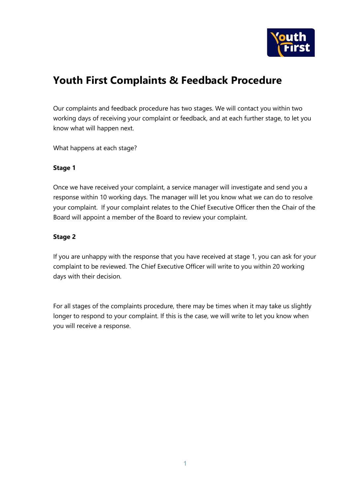

# **Youth First Complaints & Feedback Procedure**

Our complaints and feedback procedure has two stages. We will contact you within two working days of receiving your complaint or feedback, and at each further stage, to let you know what will happen next.

What happens at each stage?

# **Stage 1**

Once we have received your complaint, a service manager will investigate and send you a response within 10 working days. The manager will let you know what we can do to resolve your complaint. If your complaint relates to the Chief Executive Officer then the Chair of the Board will appoint a member of the Board to review your complaint.

# **Stage 2**

If you are unhappy with the response that you have received at stage 1, you can ask for your complaint to be reviewed. The Chief Executive Officer will write to you within 20 working days with their decision.

For all stages of the complaints procedure, there may be times when it may take us slightly longer to respond to your complaint. If this is the case, we will write to let you know when you will receive a response.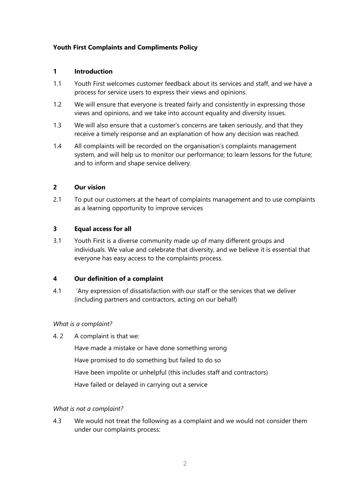# **Youth First Complaints and Compliments Policy**

# **1 Introduction**

- 1.1 Youth First welcomes customer feedback about its services and staff, and we have a process for service users to express their views and opinions.
- 1.2 We will ensure that everyone is treated fairly and consistently in expressing those views and opinions, and we take into account equality and diversity issues.
- 1.3 We will also ensure that a customer's concerns are taken seriously, and that they receive a timely response and an explanation of how any decision was reached.
- 1.4 All complaints will be recorded on the organisation's complaints management system, and will help us to monitor our performance; to learn lessons for the future; and to inform and shape service delivery.

# **2 Our vision**

2.1 To put our customers at the heart of complaints management and to use complaints as a learning opportunity to improve services

# **3 Equal access for all**

3.1 Youth First is a diverse community made up of many different groups and individuals. We value and celebrate that diversity, and we believe it is essential that everyone has easy access to the complaints process.

#### **4 Our definition of a complaint**

4.1 'Any expression of dissatisfaction with our staff or the services that we deliver (including partners and contractors, acting on our behalf)

#### *What is a complaint?*

4. 2 A complaint is that we:

Have made a mistake or have done something wrong Have promised to do something but failed to do so Have been impolite or unhelpful (this includes staff and contractors) Have failed or delayed in carrying out a service

#### *What is not a complaint?*

4.3 We would not treat the following as a complaint and we would not consider them under our complaints process: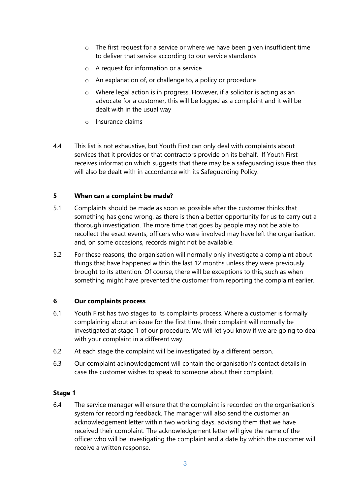- $\circ$  The first request for a service or where we have been given insufficient time to deliver that service according to our service standards
- o A request for information or a service
- o An explanation of, or challenge to, a policy or procedure
- o Where legal action is in progress. However, if a solicitor is acting as an advocate for a customer, this will be logged as a complaint and it will be dealt with in the usual way
- o Insurance claims
- 4.4 This list is not exhaustive, but Youth First can only deal with complaints about services that it provides or that contractors provide on its behalf. If Youth First receives information which suggests that there may be a safeguarding issue then this will also be dealt with in accordance with its Safeguarding Policy.

# **5 When can a complaint be made?**

- 5.1 Complaints should be made as soon as possible after the customer thinks that something has gone wrong, as there is then a better opportunity for us to carry out a thorough investigation. The more time that goes by people may not be able to recollect the exact events; officers who were involved may have left the organisation; and, on some occasions, records might not be available.
- 5.2 For these reasons, the organisation will normally only investigate a complaint about things that have happened within the last 12 months unless they were previously brought to its attention. Of course, there will be exceptions to this, such as when something might have prevented the customer from reporting the complaint earlier.

#### **6 Our complaints process**

- 6.1 Youth First has two stages to its complaints process. Where a customer is formally complaining about an issue for the first time, their complaint will normally be investigated at stage 1 of our procedure. We will let you know if we are going to deal with your complaint in a different way.
- 6.2 At each stage the complaint will be investigated by a different person.
- 6.3 Our complaint acknowledgement will contain the organisation's contact details in case the customer wishes to speak to someone about their complaint.

#### **Stage 1**

6.4 The service manager will ensure that the complaint is recorded on the organisation's system for recording feedback. The manager will also send the customer an acknowledgement letter within two working days, advising them that we have received their complaint. The acknowledgement letter will give the name of the officer who will be investigating the complaint and a date by which the customer will receive a written response.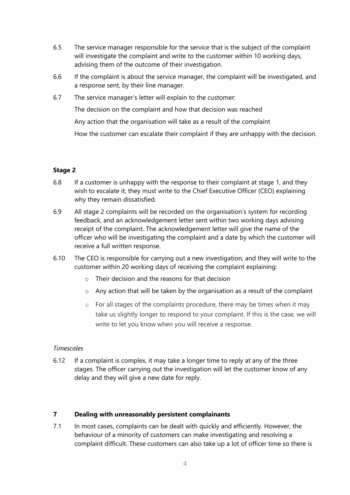- 6.5 The service manager responsible for the service that is the subject of the complaint will investigate the complaint and write to the customer within 10 working days, advising them of the outcome of their investigation.
- 6.6 If the complaint is about the service manager, the complaint will be investigated, and a response sent, by their line manager.
- 6.7 The service manager's letter will explain to the customer:

The decision on the complaint and how that decision was reached

Any action that the organisation will take as a result of the complaint

How the customer can escalate their complaint if they are unhappy with the decision.

# **Stage 2**

- 6.8 If a customer is unhappy with the response to their complaint at stage 1, and they wish to escalate it, they must write to the Chief Executive Officer (CEO) explaining why they remain dissatisfied.
- 6.9 All stage 2 complaints will be recorded on the organisation's system for recording feedback, and an acknowledgement letter sent within two working days advising receipt of the complaint. The acknowledgement letter will give the name of the officer who will be investigating the complaint and a date by which the customer will receive a full written response.
- 6.10 The CEO is responsible for carrying out a new investigation, and they will write to the customer within 20 working days of receiving the complaint explaining:
	- $\circ$  Their decision and the reasons for that decision
	- o Any action that will be taken by the organisation as a result of the complaint
	- o For all stages of the complaints procedure, there may be times when it may take us slightly longer to respond to your complaint. If this is the case, we will write to let you know when you will receive a response.

#### *Timescales*

6.12 If a complaint is complex, it may take a longer time to reply at any of the three stages. The officer carrying out the investigation will let the customer know of any delay and they will give a new date for reply.

# **7 Dealing with unreasonably persistent complainants**

7.1 In most cases, complaints can be dealt with quickly and efficiently. However, the behaviour of a minority of customers can make investigating and resolving a complaint difficult. These customers can also take up a lot of officer time so there is